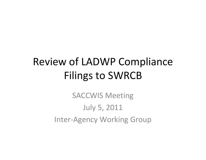## **Review of LADWP Compliance Filings to SWRCB**

**SACCWIS Meeting July 5, 2011 Inter-Agency Working Group**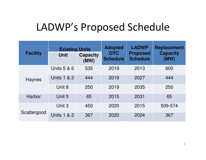#### LADWP's Proposed Schedule

| <b>Facility</b> | <b>Existing Units</b>  |                         | <b>Adopted</b>                | <b>LADWP</b>                       | <b>Replacement</b>      |
|-----------------|------------------------|-------------------------|-------------------------------|------------------------------------|-------------------------|
|                 | <b>Unit</b>            | <b>Capacity</b><br>(MW) | <b>OTC</b><br><b>Schedule</b> | <b>Proposed</b><br><b>Schedule</b> | <b>Capacity</b><br>(MW) |
| Haynes          | Units 5 & 6            | 535                     | 2019                          | 2013                               | 600                     |
|                 | <b>Units 1 &amp; 2</b> | 444                     | 2019                          | 2027                               | 444                     |
|                 | Unit 8                 | 250                     | 2019                          | 2035                               | 250                     |
| Harbor          | Unit 5                 | 65                      | 2015                          | 2031                               | 65                      |
| Scattergood     | Unit 3                 | 450                     | 2020                          | 2015                               | 509-574                 |
|                 | <b>Units 1 &amp; 2</b> | 367                     | 2020                          | 2024                               | 367                     |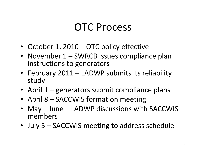#### **OTC Process**

- October 1, 2010 OTC policy effective
- November 1 SWRCB issues compliance plan instructions to generators
- February 2011 LADWP submits its reliability study
- April  $1$  generators submit compliance plans
- April 8 SACCWIS formation meeting
- May June LADWP discussions with SACCWIS members
- July 5 SACCWIS meeting to address schedule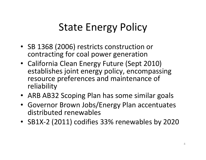# **State Energy Policy**

- SB 1368 (2006) restricts construction or contracting for coal power generation
- California Clean Energy Future (Sept 2010) establishes joint energy policy, encompassing resource preferences and maintenance of reliability
- ARB AB32 Scoping Plan has some similar goals
- Governor Brown Jobs/Energy Plan accentuates distributed renewables
- SB1X-2 (2011) codifies 33% renewables by 2020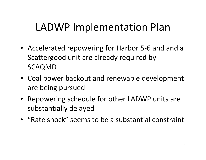## **LADWP Implementation Plan**

- Accelerated repowering for Harbor 5-6 and and a Scattergood unit are already required by **SCAQMD**
- Coal power backout and renewable development are being pursued
- Repowering schedule for other LADWP units are substantially delayed
- "Rate shock" seems to be a substantial constraint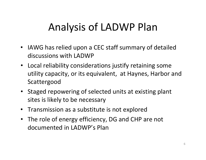# **Analysis of LADWP Plan**

- IAWG has relied upon a CEC staff summary of detailed discussions with LADWP
- Local reliability considerations justify retaining some utility capacity, or its equivalent, at Haynes, Harbor and Scattergood
- Staged repowering of selected units at existing plant sites is likely to be necessary
- Transmission as a substitute is not explored
- The role of energy efficiency, DG and CHP are not documented in LADWP's Plan